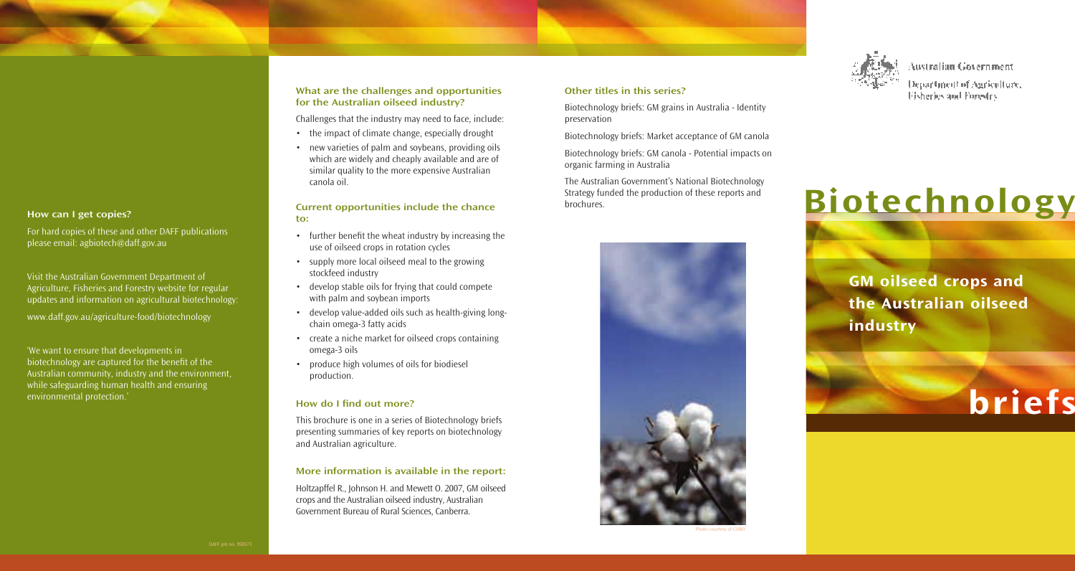

Australian Government

Department of Auriculture, Fisheries and Forestry

# Biotechnology

GM oilseed crops and the Australian oilseed industry



#### What are the challenges and opportunities for the Australian oilseed industry?

Challenges that the industry may need to face, include:

- the impact of climate change, especially drought
- new varieties of palm and soybeans, providing oils which are widely and cheaply available and are of similar quality to the more expensive Australian canola oil.

#### Current opportunities include the chance to:

- further benefit the wheat industry by increasing the use of oilseed crops in rotation cycles
- supply more local oilseed meal to the growing stockfeed industry
- develop stable oils for frying that could compete with palm and soybean imports
- develop value-added oils such as health-giving longchain omega-3 fatty acids
- create a niche market for oilseed crops containing omega-3 oils
- produce high volumes of oils for biodiesel production.

## How do I find out more?

This brochure is one in a series of Biotechnology briefs presenting summaries of key reports on biotechnology and Australian agriculture.

## More information is available in the report:

Holtzapffel R., Johnson H. and Mewett O. 2007, GM oilseed crops and the Australian oilseed industry, Australian Government Bureau of Rural Sciences, Canberra.

# Other titles in this series?

Biotechnology briefs: GM grains in Australia - Identity preservation

Biotechnology briefs: Market acceptance of GM canola

Biotechnology briefs: GM canola - Potential impacts on organic farming in Australia

The Australian Government's National Biotechnology Strategy funded the production of these reports and brochures.



# How can I get copies?

For hard copies of these and other DAFF publications please email: agbiotech@daff.gov.au

Visit the Australian Government Department of Agriculture, Fisheries and Forestry website for regular updates and information on agricultural biotechnology:

www.daff.gov.au/agriculture-food/biotechnology

'We want to ensure that developments in biotechnology are captured for the benefit of the Australian community, industry and the environment, while safeguarding human health and ensuring environmental protection.'